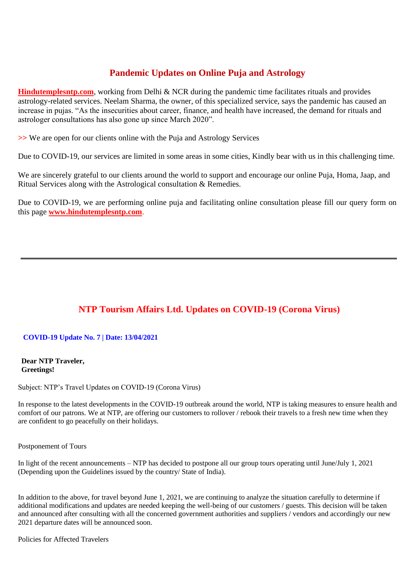## **Pandemic Updates on Online Puja and Astrology**

**[Hindutemplesntp.com](https://hindutemplesntp.com/)**, working from Delhi & NCR during the pandemic time facilitates rituals and provides astrology-related services. Neelam Sharma, the owner, of this specialized service, says the pandemic has caused an increase in pujas. "As the insecurities about career, finance, and health have increased, the demand for rituals and astrologer consultations has also gone up since March 2020".

**>>** We are open for our clients online with the Puja and Astrology Services

Due to COVID-19, our services are limited in some areas in some cities, Kindly bear with us in this challenging time.

We are sincerely grateful to our clients around the world to support and encourage our online Puja, Homa, Jaap, and Ritual Services along with the Astrological consultation & Remedies.

Due to COVID-19, we are performing online puja and facilitating online consultation please fill our query form on this page **[www.hindutemplesntp.com](https://hindutemplesntp.com/)**.

## **NTP Tourism Affairs Ltd. Updates on COVID-19 (Corona Virus)**

### **COVID-19 Update No. 7 | Date: 13/04/2021**

**Dear NTP Traveler, Greetings!**

Subject: NTP's Travel Updates on COVID-19 (Corona Virus)

In response to the latest developments in the COVID-19 outbreak around the world, NTP is taking measures to ensure health and comfort of our patrons. We at NTP, are offering our customers to rollover / rebook their travels to a fresh new time when they are confident to go peacefully on their holidays.

Postponement of Tours

In light of the recent announcements – NTP has decided to postpone all our group tours operating until June/July 1, 2021 (Depending upon the Guidelines issued by the country/ State of India).

In addition to the above, for travel beyond June 1, 2021, we are continuing to analyze the situation carefully to determine if additional modifications and updates are needed keeping the well-being of our customers / guests. This decision will be taken and announced after consulting with all the concerned government authorities and suppliers / vendors and accordingly our new 2021 departure dates will be announced soon.

Policies for Affected Travelers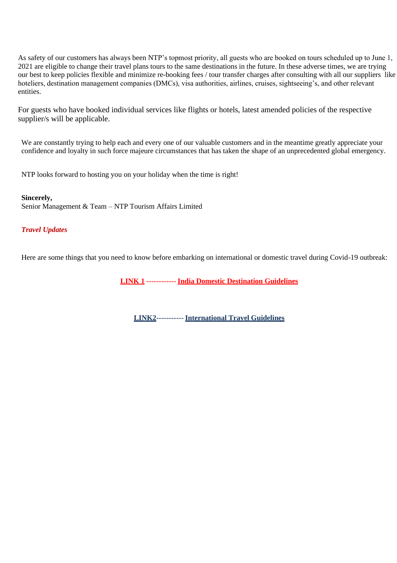As safety of our customers has always been NTP's topmost priority, all guests who are booked on tours scheduled up to June 1, 2021 are eligible to change their travel plans tours to the same destinations in the future. In these adverse times, we are trying our best to keep policies flexible and minimize re-booking fees / tour transfer charges after consulting with all our suppliers like hoteliers, destination management companies (DMCs), visa authorities, airlines, cruises, sightseeing's, and other relevant entities.

For guests who have booked individual services like flights or hotels, latest amended policies of the respective supplier/s will be applicable.

We are constantly trying to help each and every one of our valuable customers and in the meantime greatly appreciate your confidence and loyalty in such force majeure circumstances that has taken the shape of an unprecedented global emergency.

NTP looks forward to hosting you on your holiday when the time is right!

**Sincerely,** Senior Management & Team – NTP Tourism Affairs Limited

#### *Travel Updates*

Here are some things that you need to know before embarking on international or domestic travel during Covid-19 outbreak:

**[LINK 1](https://www.ntpindiatourism.com/ntp-tourism-affairs-ltd-updates-on-covid-19-for-india-domestic-destination-guidelines/) ------------ [India Domestic Destination](https://www.ntpindiatourism.com/ntp-tourism-affairs-ltd-updates-on-covid-19-for-india-domestic-destination-guidelines/) Guidelines**

**[LINK2-](https://www.ntpindiatourism.com/ntp-tourism-affairs-ltd-updates-on-covid-19-for-international-travel-guidelines/)---------- [International Travel](https://www.ntpindiatourism.com/ntp-tourism-affairs-ltd-updates-on-covid-19-for-international-travel-guidelines/) Guidelines**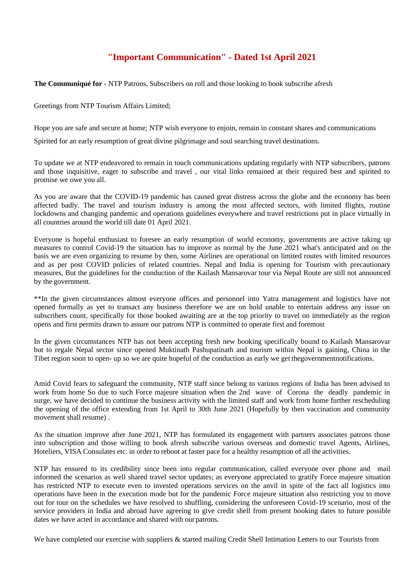# **"Important Communication" - Dated 1st April 2021**

**The Communiqué for -** NTP Patrons, Subscribers on roll and those looking to book subscribe afresh

Greetings from NTP Tourism Affairs Limited;

Hope you are safe and secure at home; NTP wish everyone to enjoin, remain in constant shares and communications

Spirited for an early resumption of great divine pilgrimage and soul searching travel destinations.

To update we at NTP endeavored to remain in touch communications updating regularly with NTP subscribers, patrons and those inquisitive, eager to subscribe and travel , our vital links remained at their required best and spirited to promise we owe you all.

As you are aware that the COVID-19 pandemic has caused great distress across the globe and the economy has been affected badly. The travel and tourism industry is among the most affected sectors, with limited flights, routine lockdowns and changing pandemic and operations guidelines everywhere and travel restrictions put in place virtually in all countries around the world till date 01 April 2021.

Everyone is hopeful enthusiast to foresee an early resumption of world economy, governments are active taking up measures to control Covid-19 the situation has to improve as normal by the June 2021 what's anticipated and on the basis we are even organizing to resume by then, some Airlines are operational on limited routes with limited resources and as per post COVID policies of related countries. Nepal and India is opening for Tourism with precautionary measures, But the guidelines for the conduction of the Kailash Mansarovar tour via Nepal Route are still not announced by the government.

\*\*In the given circumstances almost everyone offices and personnel into Yatra management and logistics have not opened formally as yet to transact any business therefore we are on hold unable to entertain address any issue on subscribers count, specifically for those booked awaiting are at the top priority to travel on immediately as the region opens and first permits drawn to assure our patrons NTP is committed to operate first and foremost

In the given circumstances NTP has not been accepting fresh new booking specifically bound to Kailash Mansarovar but to regale Nepal sector since opened Muktinath Pashupatinath and tourism within Nepal is gaining, China in the Tibet region soon to open- up so we are quite hopeful of the conduction as early we get thegovernmentnotifications.

Amid Covid fears to safeguard the community, NTP staff since belong to various regions of India has been advised to work from home So due to such Force majeure situation when the 2nd wave of Corona the deadly pandemic in surge, we have decided to continue the business activity with the limited staff and work from home further rescheduling the opening of the office extending from 1st April to 30th June 2021 (Hopefully by then vaccination and community movement shall resume) .

As the situation improve after June 2021, NTP has formulated its engagement with partners associates patrons those into subscription and those willing to book afresh subscribe various overseas and domestic travel Agents, Airlines, Hoteliers, VISA Consulates etc. in order to reboot at faster pace for a healthy resumption of all the activities.

NTP has ensured to its credibility since been into regular communication, called everyone over phone and mail informed the scenarios as well shared travel sector updates; as everyone appreciated to gratify Force majeure situation has restricted NTP to execute even to invested operations services on the anvil in spite of the fact all logistics into operations have been in the execution mode but for the pandemic Force majeure situation also restricting you to move out for tour on the schedules we have resolved to shuffling, considering the unforeseen Covid-19 scenario, most of the service providers in India and abroad have agreeing to give credit shell from present booking dates to future possible dates we have acted in accordance and shared with ourpatrons.

We have completed our exercise with suppliers & started mailing Credit Shell Intimation Letters to our Tourists from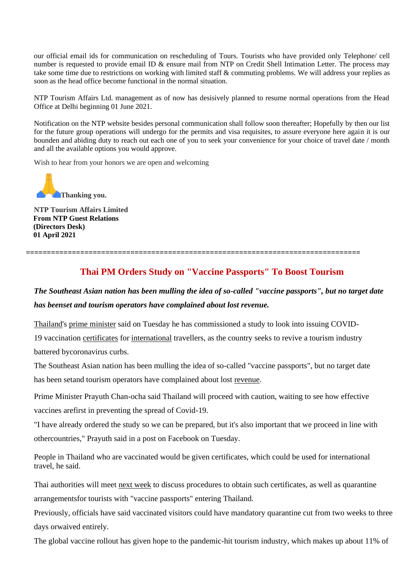our official email ids for communication on rescheduling of Tours. Tourists who have provided only Telephone/ cell number is requested to provide email ID & ensure mail from NTP on Credit Shell Intimation Letter. The process may take some time due to restrictions on working with limited staff & commuting problems. We will address your replies as soon as the head office become functional in the normal situation.

NTP Tourism Affairs Ltd. management as of now has desisively planned to resume normal operations from the Head Office at Delhi beginning 01 June 2021.

Notification on the NTP website besides personal communication shall follow soon thereafter; Hopefully by then our list for the future group operations will undergo for the permits and visa requisites, to assure everyone here again it is our bounden and abiding duty to reach out each one of you to seek your convenience for your choice of travel date / month and all the available options you would approve.

Wish to hear from your honors we are open and welcoming



**NTP Tourism Affairs Limited From NTP Guest Relations (Directors Desk) 01 April 2021**

## **Thai PM Orders Study on "Vaccine Passports" To Boost Tourism**

# *The Southeast Asian nation has been mulling the idea of so-called "vaccine passports", but no target date has beenset and tourism operators have complained about lost revenue.*

[Thailand's](https://travel.economictimes.indiatimes.com/tag/thailand) [prime minister](https://travel.economictimes.indiatimes.com/tag/prime%2Bminister) said on Tuesday he has commissioned a study to look into issuing COVID-19 vaccination [certificates](https://travel.economictimes.indiatimes.com/tag/certificates) for [international](https://travel.economictimes.indiatimes.com/news/destination/international) travellers, as the country seeks to revive a tourism industry battered bycoronavirus curbs.

**================================================================================**

The Southeast Asian nation has been mulling the idea of so-called "vaccine passports", but no target date has been setand tourism operators have complained about lost [revenue.](https://travel.economictimes.indiatimes.com/tag/revenue)

Prime Minister Prayuth Chan-ocha said Thailand will proceed with caution, waiting to see how effective vaccines arefirst in preventing the spread of Covid-19.

"I have already ordered the study so we can be prepared, but it's also important that we proceed in line with othercountries," Prayuth said in a post on Facebook on Tuesday.

People in Thailand who are vaccinated would be given certificates, which could be used for international travel, he said.

Thai authorities will meet [next week](https://travel.economictimes.indiatimes.com/tag/next%2Bweek) to discuss procedures to obtain such certificates, as well as quarantine arrangementsfor tourists with "vaccine passports" entering Thailand.

Previously, officials have said vaccinated visitors could have mandatory quarantine cut from two weeks to three days orwaived entirely.

The global vaccine rollout has given hope to the pandemic-hit tourism industry, which makes up about 11% of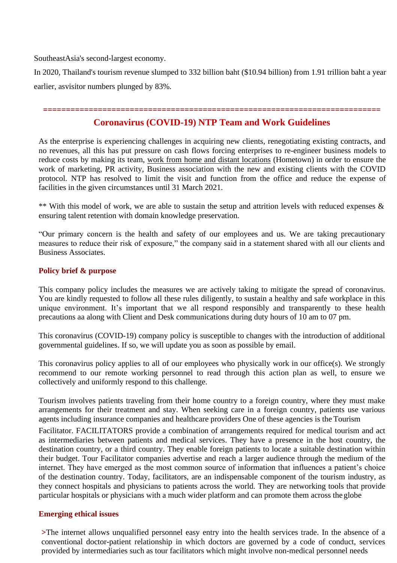SoutheastAsia's second-largest economy.

In 2020, Thailand's tourism revenue slumped to 332 billion baht (\$10.94 billion) from 1.91 trillion baht a year earlier, asvisitor numbers plunged by 83%.

#### *=================================================***=========================**

## **Coronavirus (COVID-19) NTP Team and Work Guidelines**

As the enterprise is experiencing challenges in acquiring new clients, renegotiating existing contracts, and no revenues, all this has put pressure on cash flows forcing enterprises to re-engineer business models to reduce costs by making its team, work from home and distant locations (Hometown) in order to ensure the work of marketing, PR activity, Business association with the new and existing clients with the COVID protocol. NTP has resolved to limit the visit and function from the office and reduce the expense of facilities in the given circumstances until 31 March 2021.

\*\* With this model of work, we are able to sustain the setup and attrition levels with reduced expenses & ensuring talent retention with domain knowledge preservation.

"Our primary concern is the health and safety of our employees and us. We are taking precautionary measures to reduce their risk of exposure," the company said in a statement shared with all our clients and Business Associates.

### **Policy brief & purpose**

This company policy includes the measures we are actively taking to mitigate the spread of coronavirus. You are kindly requested to follow all these rules diligently, to sustain a healthy and safe workplace in this unique environment. It's important that we all respond responsibly and transparently to these health precautions aa along with Client and Desk communications during duty hours of 10 am to 07 pm.

This coronavirus (COVID-19) company policy is susceptible to changes with the introduction of additional governmental guidelines. If so, we will update you as soon as possible by email.

This coronavirus policy applies to all of our employees who physically work in our office(s). We strongly recommend to our remote working personnel to read through this action plan as well, to ensure we collectively and uniformly respond to this challenge.

Tourism involves patients traveling from their home country to a foreign country, where they must make arrangements for their treatment and stay. When seeking care in a foreign country, patients use various agents including insurance companies and healthcare providers One of these agencies is the Tourism

Facilitator. FACILITATORS provide a combination of arrangements required for medical tourism and act as intermediaries between patients and medical services. They have a presence in the host country, the destination country, or a third country. They enable foreign patients to locate a suitable destination within their budget. Tour Facilitator companies advertise and reach a larger audience through the medium of the internet. They have emerged as the most common source of information that influences a patient's choice of the destination country. Today, facilitators, are an indispensable component of the tourism industry, as they connect hospitals and physicians to patients across the world. They are networking tools that provide particular hospitals or physicians with a much wider platform and can promote them across the globe

### **Emerging ethical issues**

**>**The internet allows unqualified personnel easy entry into the health services trade. In the absence of a conventional doctor-patient relationship in which doctors are governed by a code of conduct, services provided by intermediaries such as tour facilitators which might involve non-medical personnel needs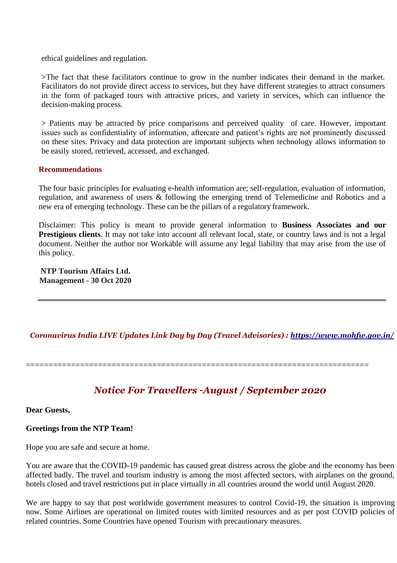ethical guidelines and regulation.

**>**The fact that these facilitators continue to grow in the number indicates their demand in the market. Facilitators do not provide direct access to services, but they have different strategies to attract consumers in the form of packaged tours with attractive prices, and variety in services, which can influence the decision-making process.

**>** Patients may be attracted by price comparisons and perceived quality of care. However, important issues such as confidentiality of information, aftercare and patient's rights are not prominently discussed on these sites. Privacy and data protection are important subjects when technology allows information to be easily stored, retrieved, accessed, and exchanged.

### **Recommendations**

The four basic principles for evaluating e-health information are; self-regulation, evaluation of information, regulation, and awareness of users & following the emerging trend of Telemedicine and Robotics and a new era of emerging technology. These can be the pillars of a regulatory framework.

Disclaimer: This policy is meant to provide general information to **Business Associates and our Prestigious clients**. It may not take into account all relevant local, state, or country laws and is not a legal document. Neither the author nor Workable will assume any legal liability that may arise from the use of this policy.

**NTP Tourism Affairs Ltd. Management - 30 Oct 2020**

### *Coronavirus India LIVE Updates Link Day by Day (Travel Advisories) :<https://www.mohfw.gov.in/>*

============================================================================

## *Notice For Travellers –August / September 2020*

**Dear Guests,**

### **Greetings from the NTP Team!**

Hope you are safe and secure at home.

You are aware that the COVID-19 pandemic has caused great distress across the globe and the economy has been affected badly. The travel and tourism industry is among the most affected sectors, with airplanes on the ground, hotels closed and travel restrictions put in place virtually in all countries around the world until August 2020.

We are happy to say that post worldwide government measures to control Covid-19, the situation is improving now. Some Airlines are operational on limited routes with limited resources and as per post COVID policies of related countries. Some Countries have opened Tourism with precautionary measures.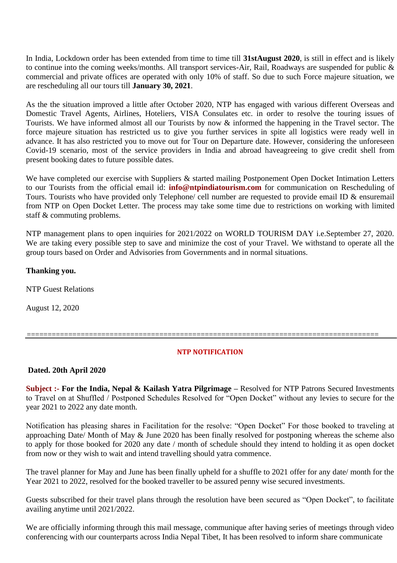In India, Lockdown order has been extended from time to time till **31stAugust 2020**, is still in effect and is likely to continue into the coming weeks/months. All transport services-Air, Rail, Roadways are suspended for public & commercial and private offices are operated with only 10% of staff. So due to such Force majeure situation, we are rescheduling all our tours till **January 30, 2021**.

As the the situation improved a little after October 2020, NTP has engaged with various different Overseas and Domestic Travel Agents, Airlines, Hoteliers, VISA Consulates etc. in order to resolve the touring issues of Tourists. We have informed almost all our Tourists by now & informed the happening in the Travel sector. The force majeure situation has restricted us to give you further services in spite all logistics were ready well in advance. It has also restricted you to move out for Tour on Departure date. However, considering the unforeseen Covid-19 scenario, most of the service providers in India and abroad haveagreeing to give credit shell from present booking dates to future possible dates.

We have completed our exercise with Suppliers & started mailing Postponement Open Docket Intimation Letters to our Tourists from the official email id: **[info@ntpindiatourism.com](mailto:info@ntpindiatourism.com)** for communication on Rescheduling of Tours. Tourists who have provided only Telephone/ cell number are requested to provide email ID & ensuremail from NTP on Open Docket Letter. The process may take some time due to restrictions on working with limited staff & commuting problems.

NTP management plans to open inquiries for 2021/2022 on WORLD TOURISM DAY i.e.September 27, 2020. We are taking every possible step to save and minimize the cost of your Travel. We withstand to operate all the group tours based on Order and Advisories from Governments and in normal situations.

### **Thanking you.**

NTP Guest Relations

August 12, 2020

### **NTP NOTIFICATION**

=====================================================================================

**Dated. 20th April 2020**

**Subject :- For the India, Nepal & Kailash Yatra Pilgrimage –** Resolved for NTP Patrons Secured Investments to Travel on at Shuffled / Postponed Schedules Resolved for "Open Docket" without any levies to secure for the year 2021 to 2022 any date month.

Notification has pleasing shares in Facilitation for the resolve: "Open Docket" For those booked to traveling at approaching Date/ Month of May & June 2020 has been finally resolved for postponing whereas the scheme also to apply for those booked for 2020 any date / month of schedule should they intend to holding it as open docket from now or they wish to wait and intend travelling should yatra commence.

The travel planner for May and June has been finally upheld for a shuffle to 2021 offer for any date/ month for the Year 2021 to 2022, resolved for the booked traveller to be assured penny wise secured investments.

Guests subscribed for their travel plans through the resolution have been secured as "Open Docket", to facilitate availing anytime until 2021/2022.

We are officially informing through this mail message, communique after having series of meetings through video conferencing with our counterparts across India Nepal Tibet, It has been resolved to inform share communicate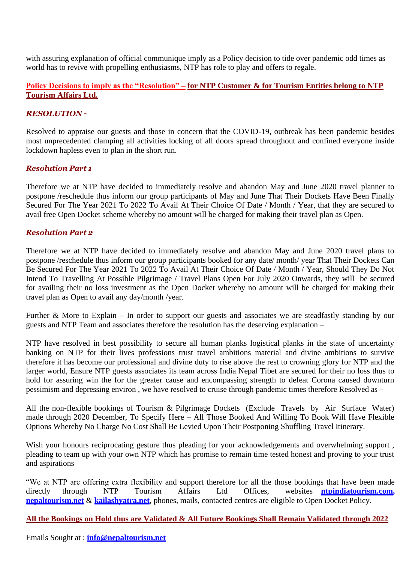with assuring explanation of official communique imply as a Policy decision to tide over pandemic odd times as world has to revive with propelling enthusiasms, NTP has role to play and offers to regale.

### **Policy Decisions to imply as the "Resolution" – for NTP Customer & for Tourism Entities belong to NTP Tourism Affairs Ltd.**

### *RESOLUTION –*

Resolved to appraise our guests and those in concern that the COVID-19, outbreak has been pandemic besides most unprecedented clamping all activities locking of all doors spread throughout and confined everyone inside lockdown hapless even to plan in the short run.

### *Resolution Part 1*

Therefore we at NTP have decided to immediately resolve and abandon May and June 2020 travel planner to postpone /reschedule thus inform our group participants of May and June That Their Dockets Have Been Finally Secured For The Year 2021 To 2022 To Avail At Their Choice Of Date / Month / Year, that they are secured to avail free Open Docket scheme whereby no amount will be charged for making their travel plan as Open.

### *Resolution Part 2*

Therefore we at NTP have decided to immediately resolve and abandon May and June 2020 travel plans to postpone /reschedule thus inform our group participants booked for any date/ month/ year That Their Dockets Can Be Secured For The Year 2021 To 2022 To Avail At Their Choice Of Date / Month / Year, Should They Do Not Intend To Travelling At Possible Pilgrimage / Travel Plans Open For July 2020 Onwards, they will be secured for availing their no loss investment as the Open Docket whereby no amount will be charged for making their travel plan as Open to avail any day/month /year.

Further & More to Explain – In order to support our guests and associates we are steadfastly standing by our guests and NTP Team and associates therefore the resolution has the deserving explanation –

NTP have resolved in best possibility to secure all human planks logistical planks in the state of uncertainty banking on NTP for their lives professions trust travel ambitions material and divine ambitions to survive therefore it has become our professional and divine duty to rise above the rest to crowning glory for NTP and the larger world, Ensure NTP guests associates its team across India Nepal Tibet are secured for their no loss thus to hold for assuring win the for the greater cause and encompassing strength to defeat Corona caused downturn pessimism and depressing environ , we have resolved to cruise through pandemic times therefore Resolved as –

All the non-flexible bookings of Tourism & Pilgrimage Dockets (Exclude Travels by Air Surface Water) made through 2020 December, To Specify Here – All Those Booked And Willing To Book Will Have Flexible Options Whereby No Charge No Cost Shall Be Levied Upon Their Postponing Shuffling Travel Itinerary.

Wish your honours reciprocating gesture thus pleading for your acknowledgements and overwhelming support , pleading to team up with your own NTP which has promise to remain time tested honest and proving to your trust and aspirations

"We at NTP are offering extra flexibility and support therefore for all the those bookings that have been made directly through NTP Tourism Affairs Ltd Offices, websites **[ntpindiatourism.com,](https://www.ntpindiatourism.com/) [nepaltourism.net](http://nepaltourism.net/)** & **[kailashyatra.net](http://kaialshyatra.net/)**, phones, mails, contacted centres are eligible to Open Docket Policy.

**All the Bookings on Hold thus are Validated & All Future Bookings Shall Remain Validated through 2022**

Emails Sought at : **[info@nepaltourism.net](mailto:info@nepaltourism.net)**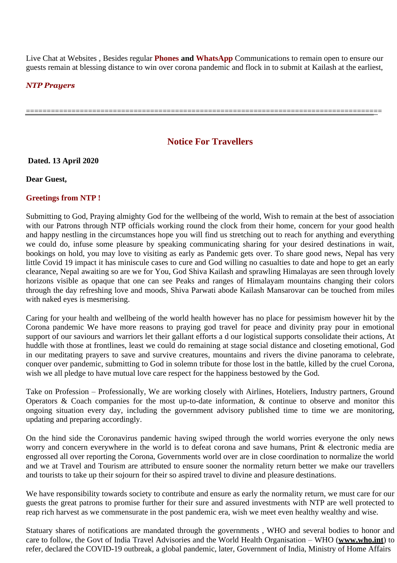Live Chat at Websites , Besides regular **Phones and WhatsApp** Communications to remain open to ensure our guests remain at blessing distance to win over corona pandemic and flock in to submit at Kailash at the earliest,

======================================================================================

#### *NTP Prayers*

## **Notice For Travellers**

**Dated. 13 April 2020** 

**Dear Guest,** 

### **Greetings from NTP !**

Submitting to God, Praying almighty God for the wellbeing of the world, Wish to remain at the best of association with our Patrons through NTP officials working round the clock from their home, concern for your good health and happy nestling in the circumstances hope you will find us stretching out to reach for anything and everything we could do, infuse some pleasure by speaking communicating sharing for your desired destinations in wait, bookings on hold, you may love to visiting as early as Pandemic gets over. To share good news, Nepal has very little Covid 19 impact it has miniscule cases to cure and God willing no casualties to date and hope to get an early clearance, Nepal awaiting so are we for You, God Shiva Kailash and sprawling Himalayas are seen through lovely horizons visible as opaque that one can see Peaks and ranges of Himalayam mountains changing their colors through the day refreshing love and moods, Shiva Parwati abode Kailash Mansarovar can be touched from miles with naked eyes is mesmerising.

Caring for your health and wellbeing of the world health however has no place for pessimism however hit by the Corona pandemic We have more reasons to praying god travel for peace and divinity pray pour in emotional support of our saviours and warriors let their gallant efforts a d our logistical supports consolidate their actions, At huddle with those at frontlines, least we could do remaining at stage social distance and closeting emotional, God in our meditating prayers to save and survive creatures, mountains and rivers the divine panorama to celebrate, conquer over pandemic, submitting to God in solemn tribute for those lost in the battle, killed by the cruel Corona, wish we all pledge to have mutual love care respect for the happiness bestowed by the God.

Take on Profession – Professionally, We are working closely with Airlines, Hoteliers, Industry partners, Ground Operators & Coach companies for the most up-to-date information, & continue to observe and monitor this ongoing situation every day, including the government advisory published time to time we are monitoring, updating and preparing accordingly.

On the hind side the Coronavirus pandemic having swiped through the world worries everyone the only news worry and concern everywhere in the world is to defeat corona and save humans, Print & electronic media are engrossed all over reporting the Corona, Governments world over are in close coordination to normalize the world and we at Travel and Tourism are attributed to ensure sooner the normality return better we make our travellers and tourists to take up their sojourn for their so aspired travel to divine and pleasure destinations.

We have responsibility towards society to contribute and ensure as early the normality return, we must care for our guests the great patrons to promise further for their sure and assured investments with NTP are well protected to reap rich harvest as we commensurate in the post pandemic era, wish we meet even healthy wealthy and wise.

Statuary shares of notifications are mandated through the governments , WHO and several bodies to honor and care to follow, the Govt of India Travel Advisories and the World Health Organisation – WHO (**[www.who.int](http://www.who.int/)**) to refer, declared the COVID-19 outbreak, a global pandemic, later, Government of India, Ministry of Home Affairs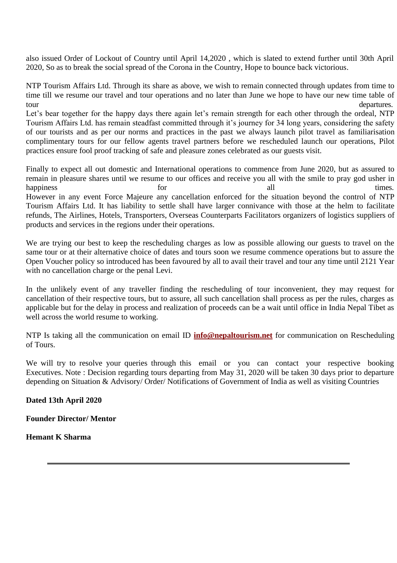also issued Order of Lockout of Country until April 14,2020 , which is slated to extend further until 30th April 2020, So as to break the social spread of the Corona in the Country, Hope to bounce back victorious.

NTP Tourism Affairs Ltd. Through its share as above, we wish to remain connected through updates from time to time till we resume our travel and tour operations and no later than June we hope to have our new time table of tour departures.

Let's bear together for the happy days there again let's remain strength for each other through the ordeal, NTP Tourism Affairs Ltd. has remain steadfast committed through it's journey for 34 long years, considering the safety of our tourists and as per our norms and practices in the past we always launch pilot travel as familiarisation complimentary tours for our fellow agents travel partners before we rescheduled launch our operations, Pilot practices ensure fool proof tracking of safe and pleasure zones celebrated as our guests visit.

Finally to expect all out domestic and International operations to commence from June 2020, but as assured to remain in pleasure shares until we resume to our offices and receive you all with the smile to pray god usher in happiness for all times. However in any event Force Majeure any cancellation enforced for the situation beyond the control of NTP Tourism Affairs Ltd. It has liability to settle shall have larger connivance with those at the helm to facilitate refunds, The Airlines, Hotels, Transporters, Overseas Counterparts Facilitators organizers of logistics suppliers of products and services in the regions under their operations.

We are trying our best to keep the rescheduling charges as low as possible allowing our guests to travel on the same tour or at their alternative choice of dates and tours soon we resume commence operations but to assure the Open Voucher policy so introduced has been favoured by all to avail their travel and tour any time until 2121 Year with no cancellation charge or the penal Levi.

In the unlikely event of any traveller finding the rescheduling of tour inconvenient, they may request for cancellation of their respective tours, but to assure, all such cancellation shall process as per the rules, charges as applicable but for the delay in process and realization of proceeds can be a wait until office in India Nepal Tibet as well across the world resume to working.

NTP Is taking all the communication on email ID **[info@nepaltourism.net](mailto:info@nepaltourism.net)** for communication on Rescheduling of Tours.

We will try to resolve your queries through this email or you can contact your respective booking Executives. Note : Decision regarding tours departing from May 31, 2020 will be taken 30 days prior to departure depending on Situation & Advisory/ Order/ Notifications of Government of India as well as visiting Countries

**Dated 13th April 2020** 

**Founder Director/ Mentor** 

**Hemant K Sharma**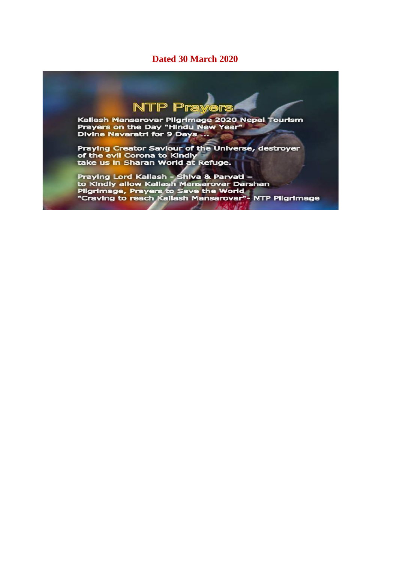### **Dated 30 March 2020**